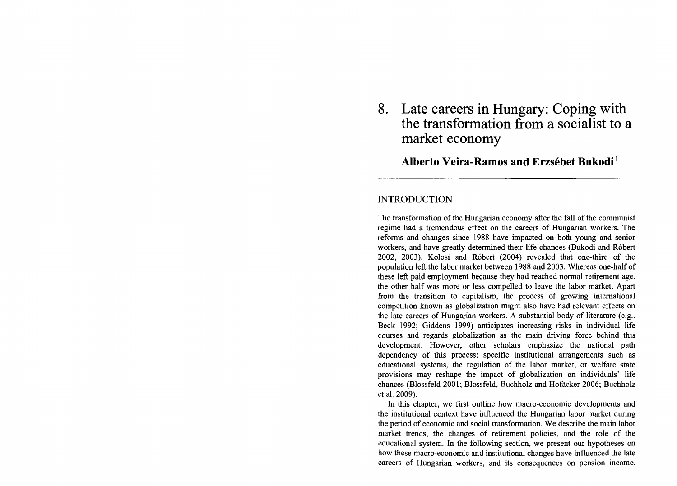# **8. Late careers in Hungary: Coping with the transformation from a socialist to a market economy**

## **Alberto Veira-Ramos and Erzsébet Bukodi <sup>1</sup>**

## **INTRODUCTION**

The transformation of the Hungarian economy after the fall of the communist regime had a tremendous effect on the careers of Hungarian workers. The reforms and changes since 1988 have impacted on both young and senior workers, and have greatly determined their life chances (Bukodi and Róbert 2002, 2003). Kolosi and Róbert (2004) revealed that one-third of the population left the labor market between 1988 and 2003. Whereas one-half of these left paid employment because they had reached normal retirement age, the other half was more or less compelled to leave the labor market. Apart from the transition to capitalism, the process of growing intemational competition known as globalization might also have had relevant effects on the late careers of Hungarian workers. A substantial body of literature (e.g., Beck 1992; Giddens 1999) anticipates increasing risks in individual life courses and regards globalization as the main driving force behind this development. However, other scholars emphasize the national path dependency of this process: specific institutional arrangements such as educational systems, the regulation of the labor market, or welfare state provisions may reshape the impact of globalization on individuals' life chances (Blossfeld 2001; Blossfeld, Buchholz and Hofacker 2006; Buchholz et al. 2009).

In this chapter, we first outline how macro-economic developments and the institutional context have influenced the Hungarian labor market during the period of economic and social transformation. We describe the main labor market trends, the changes of retirement policies, and the role of the educational system. In the following section, we present our hypotheses on how these macro-economic and institutional changes have influenced the late careers of Hungarian workers, and its consequences on pension income.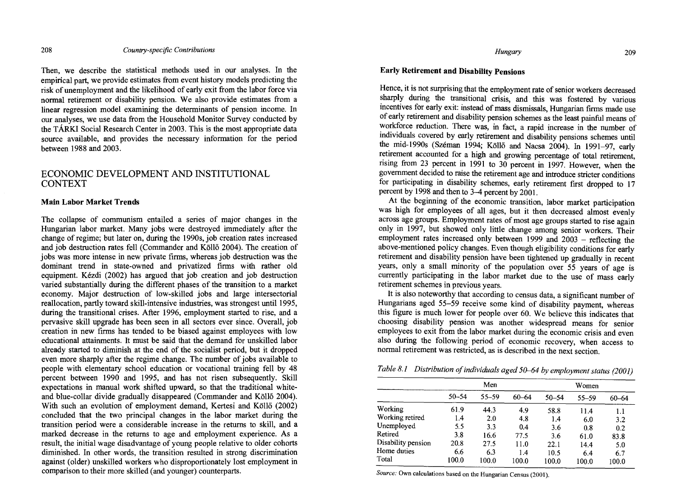Then, we describe the statistical methods used in our analyses. In the empirical part, we provide estimates from event history models predicting the risk of unemployment and the likelihood of early exit from the labor force via normal retirement or disability pension. We also provide estimates from a linear regression model examining the determinants of pension income. In our analyses, we use data from the Household Monitor Survey conducted by the TÁRKI Social Research Center in 2003. This is the most appropriate data source available, and provides the necessary information for the period between 1988 and 2003.

## ECONOMIC DEVELOPMENT AND INSTITUTIONAL CONTEXT

#### Main Labor Market Trends

The collapse of communism entailed a series of major changes in the Hungarian labor market. Many jobs were destroyed immediately after the change of regime; but later on, during the 1990s, job creation rates increased and job destruction rates fell (Commander and Koll6 2004). The creation of jobs was more intense in new private firms, whereas job destruction was the dominant trend in state-owned and privatized firms with rather old equipment. Kézdi (2002) has argued that job creation and job destruction varied substantially during the different phases of the transition to a market economy. Major destruction of low-skilled jobs and large intersectorial reallocation, partly toward skill-intensive industries, was strongest until 1995, during the transitional crises. After 1996, employment started to rise, and a pervasive skill upgrade has been seen in all sectors ever since. Overall, job creation in new firms has tended to be biased against employees with low educational attainments. It must be said that the demand for unskilled labor already started to diminish at the end of the socialist period, but it dropped even more sharply after the regime change. The number of jobs available to people with elementary school education or vocational training fell by 48 percent between 1990 and 1995, and has not risen subsequently. Skill expectations in manual work shifted upward, so that the traditional whiteand blue-collar divide gradually disappeared (Commander and Ko1l6 2004). With such an evolution of employment demand, Kertesi and Köllő (2002) concluded that the two principal changes in the labor market during the transition period were a considerable increase in the returns to skill, and a marked decrease in the retums to age and employment experience. As a result, the initial wage disadvantage of young people relative to older cohorts diminished. In other words, the transition resulted in strong discrimination against (older) unskilled workers who disproportionately lost employment in comparison to their more skilled (and younger) counterparts.

#### *Hungary* 209

## Early Retirement and Disability Pensions

Hence, it is not surprising that the employment rate of senior workers decreased sharply during the transitional crisis, and this was fostered by various incentives for early exit: instead of mass dismissals, Hungarian firms made use of early retirement and disability pension schemes as the least painful means of workforce reduction. There was, in fact, a rapid increase in the number of individuals covered by early retirement and disability pensions schemes until the mid-1990s (Széman 1994; Ko1l6 and Nacsa 2004). In 1991-97, early retirement accounted for a high and growing percentage of total retirement, rising from 23 percent in 1991 to 30 percent in 1997. However, when the government decided to raise the retirement age and introduce stricter conditions for participating in disability schemes, early retirement first dropped to 17 percent by 1998 and then to 3-4 percent by 2001.

At the beginning of the economic transition, labor market participation was high for employees of all ages, but it then decreased almost evenly across age groups. Employment rates of most age groups started to rise again only in 1997, but showed only little change among senior workers. Their employment rates increased only between  $1999$  and  $2003$  – reflecting the above-mentioned policy changes. Even though eligibility conditions for early retirement and disability pension have been tightened up gradually in recent years, only a small minority of the population over 55 years of age is currently participating in the labor market due to the use of mass early retirement schemes in previous years.

It is also noteworthy that according to census data, a significant number of Hungarians aged 55-59 receive some kind of disability payment, whereas this figure is much lower for people over 60. We believe this indicates that choosing disability pension was another widespread means for senior employees to exit from the labor market during the economic crisis and even also during the following period of economic recovery, when access to normal retirement was restricted, as is described in the next section.

|  | Table 8.1 Distribution of individuals aged 50–64 by employment status (2001) |  |  |
|--|------------------------------------------------------------------------------|--|--|
|--|------------------------------------------------------------------------------|--|--|

| Men       |       |       | Women       |                                   |                                                    |
|-----------|-------|-------|-------------|-----------------------------------|----------------------------------------------------|
| $50 - 54$ | 55-59 | 60–64 | $50 - 54$   | $55 - 59$                         | 60–64                                              |
| 61.9      | 44.3  | 4.9   | 58.8        |                                   | $1.1\,$                                            |
| 1.4       | 2.0   | 4.8   |             |                                   | 3.2                                                |
| 5.5       | 3.3   | 0.4   |             |                                   | 0.2                                                |
| 3.8       | 16.6  | 77.5  |             |                                   | 83.8                                               |
| 20.8      | 27.5  |       |             |                                   | 5.0                                                |
|           |       |       |             |                                   | 6.7                                                |
| 100.0     | 100.0 | 100.0 | 100.0       |                                   | 100.0                                              |
|           | 6.6   | 6.3   | 11.0<br>1.4 | 1.4<br>3.6<br>3.6<br>22.1<br>10.5 | 11.4<br>6.0<br>0.8<br>61.0<br>14.4<br>6.4<br>100.0 |

*Source:* Own calculations based on the Hungarian Census (2001).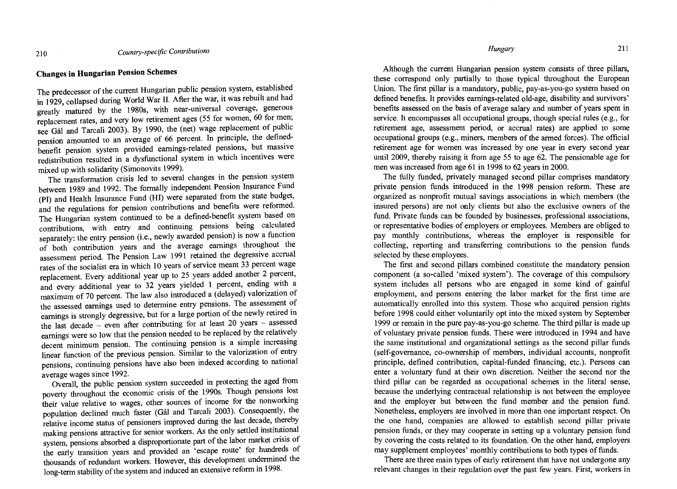## Changes in Hungarian Pension Schemes

The predecessor of the current Hungarian public pension system, established in 1929, collapsed during World War II. After the war, it was rebuilt and had gready matured by the 1980s, with near-universal coverage, generous replacement rates, and very low retirement ages (55 for women, 60 for men; see Gál and Tarcali 2003). By 1990, the (net) wage replacement of public pension amounted to an average of 66 percent. In principle, the definedbenefit pension system provided earnings-related pensions, but massive redistribution resulted in a dysfunctional system in which incentives were mixed up with solidarity (Simonovits 1999).

The transformation crisis led to several changes in the pension system between 1989 and 1992. The formally independent Pension Insurance Fund (PI) and Health Insurance Fund (HI) were separated from the state budget, and the regulations for pension contributions and benefits were reformed. The Hungarian system continued to be a defined-benefit system based on contributions, with entry and continuing pensions being calculated separately: the entry pension (i.e., newly awarded pension) is now a function of both contribution years and the average earnings throughout the assessment period. The Pension Law 1991 retained the degressive accrual rates of the socialist era in which 10 years of service meant 33 percent wage replacement. Every additional year up to 25 years added another 2 percent, and every additional year to 32 years yielded 1 percent, ending with a maximum of 70 percent. The law also introduced a (delayed) valorization of the assessed earnings used to determine entry pensions. The assessment of earnings is strongly degressive, but for a large portion of the newly retired in the last decade - even after contributing for at least 20 years - assessed earnings were so low that the pension needed to be replaced by the relatively decent minimum pension. The continuing pension is a simple increasing linear function of the previous pension. Similar to the valorization of entry pensions, continuing pensions have also been indexed according to national average wages since 1992.

OveraIl, the public pension system succeeded in protecting the aged from poverty throughout the economic crisis of the 1990s. Though pensions lost their value relative to wages, other sources of income for the nonworking population declined much faster (Gál and Tarcali 2003). Consequendy, the relative income status of pensioners improved during the last decade, thereby making pensions attractive for senior workers. As the only settled institutional system, pensions absorbed a disproportionate part of the labor market crisis of the early transition years and provided an 'escape route' for hundreds of thousands of redundant workers. However, this development undermined the long-term stability of the system and induced an extensive reform in 1998.

Although the current Hungarian pension system consists of three pillars, these correspond only partially to those typical throughout the European Union. The first pillar is a mandatory, public, pay-as-you-go system based on defined benefits. It provides eamings-related old-age, disability and survivors' benefits assessed on the basis of average salary and number of years spent in service. It encompasses all occupational groups, though special rules (e.g., for retirement age, assessment period, or accrual rates) are applied to sorne occupational groups (e.g., miners, members of the armed forces). The official retirement age for women was increased by one year in every second year until 2009, thereby raising it from age 55 to age 62. The pensionable age for men was increased from age 61 in 1998 to 62 years in 2000.

The fully funded, privately managed second pillar comprises mandatory private pension funds introduced in the 1998 pension reform. These are organized as nonprofit mutual savings associations in which members (the insured persons) are not only clients but also the exclusive owners of the fund. Private funds can be founded by businesses, professional associations, or representative bodies of employers or employees. Members are obliged to pay monthly contributions, whereas the employer is responsible for collecting, reporting and transferring contributions to the pension funds selected by these employees.

The first and second pillars combined constitute the mandatory pension component (a so-called 'mixed system'). The coverage of this compulsory system includes all persons who are engaged in some kind of gainful employrnent, and persons entering the labor market for the first time are automatically enrolled into this system. Those who acquired pension rights before 1998 could either voluntarily opt into the mixed system by September 1999 or remain in the pure pay-as-you-go scheme. The third pillar is made up of voluntary private pension funds. These were introduced in 1994 and have the same institutional and organizational settings as the second pillar funds (self-govemance, co-ownership of members, individual accounts, nonprofit principIe, defined contribution, capital-funded financing, etc.). Persons can enter a voluntary fund at their own discretion. Neither the second nor the third pillar can be regarded as occupational schemes in the literal sense, because the underlying contractual relationship is not between the employee and the employer but between the fund member and the pension fund. Nonetheless, employers are involved in more than one important respect. On the one hand, companies are allowed to establish second pillar private pension funds, or they may cooperate in setting up a voluntary pension fund by covering the costs related to its foundation. On the other hand, employers may supplement employees' monthly contributions to both types of funds.

There are three main types of early retirement that have not undergone any relevant changes in their regulation over the past few years. First, workers in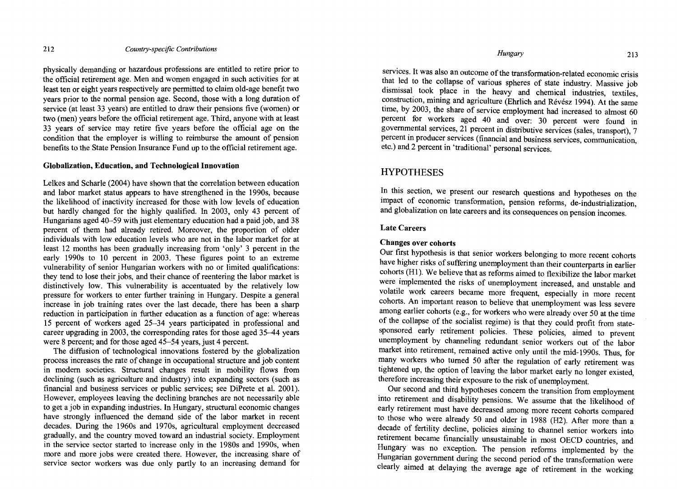physically demanding or hazardous professions are entitled to retire prior to the official retirement age. Men and women engaged in such activities for at least ten or eight years respectively are permitted to claim old-age benefit two years prior to the normal pension age. Second, those with a long duration of service (at least 33 years) are entitled to draw their pensions five (women) or two (men) years before the official retirement age. Third, anyone with at least 33 years of service may retire five years before the official age on the condition that the employer is willing to reimburse the amount of pension benefits to the State Pension Insurance Fund up to the official retirement age.

#### Globalization, Education, and Technological Innovation

Lelkes and Scharle (2004) have shown that the correlation between education and labor market status appears to have strengthened in the 1990s, because the likelihood of inactivity increased for those with low levels of education but hardly changed for the highly qualified. In 2003, only 43 percent of Hungarians aged 40–59 with just elementary education had a paid job, and 38 percent of them had already retired. Moreover, the proportion of older individuals with low education levels who are not in the labor market for at least 12 months has been gradually increasing from 'only' 3 percent in the early 1990s to 10 percent in 2003. These figures point to an extreme vulnerability of senior Hungarian workers with no or limited qualifications: they tend to lose their jobs, and their chance of reentering the labor market is distinctively low. This vulnerability is accentuated by the relatively low pressure for workers to enter further training in Hungary. Despite a general increase in job training rates over the last decade, there has been a sharp reduction in participation in further education as a function of age: whereas 15 percent of workers aged 25-34 years participated in professional and career upgrading in 2003, the corresponding rates for those aged 35-44 years were 8 percent; and for those aged 45-54 years, just 4 percent.

The diffusion of technological innovations fostered by the globalization process increases the rate of change in occupational structure and job content in modern societies. Structural changes result in mobility flows from declining (such as agriculture and industry) into expanding sectors (such as financial and business services or public services; see DiPrete et al. 2001). However, employees leaving the declining branches are not necessarily able to get a job in expanding industries. In Hungary, structural economic changes have strongly influenced the demand side of the labor market in recent decades. During the 1960s and 1970s, agricultural employment decreased gradually, and the country moved toward an industrial society. Employment in the service sector started to increase only in the 1980s and 1990s, when more and more jobs were created there. However, the increasing share of service sector workers was due only partly to an increasing demand for

services. It was also an outcome of the transformation-related economic crisis that led to the collapse of various spheres of state industry. Massive job dismissal took place in the heavy and chemical industries, textiles, construction, mining and agriculture (Ehrlich and Révész 1994). At the same time, by 2003, the share of service employment had increased to almost 60 percent for workers aged 40 and over: 30 percent were found in governmental services, 21 percent in distributive services (sales, transport), 7 percent in producer services (financial and business services, communication, etc.) and 2 percent in 'traditional' personal services.

## **HYPOTHESES**

In this section, we present our research questions and hypotheses on the impact of economic transformation, pension reforms, de-industrialization, and globalization on late careers and its consequences on pension incomes.

#### Late Careers

#### Changes over cohorts

Our first hypothesis is that senior workers belonging to more recent cohorts have higher risks of suffering unemployment than their counterparts in earlier cohorts (H1). We believe that as reforms aimed to flexibilize the labor market were implemented the risks of unemployment increased, and unstable and volatile work careers became more frequent, especially in more recent cohorts. An important reason to believe that unemployment was less severe among earlier cohorts (e.g., for workers who were already over 50 at the time of the collapse of the socialist regime) is that they could profit from statesponsored early retirement policies. These policies, aimed to prevent unemployment by channeling redundant senior workers out of the labor market into retirement, remained active only until the mid-1990s. Thus, for many workers who tumed 50 after the regulation of early retirement was tightened up, the option of leaving the labor market early no longer existed, therefore increasing their exposure to the risk of unemployment.

Our second and third hypotheses concem the transition from employment into retirement and disability pensions. We assume that the likelihood of early retirement must have decreased among more recent cohorts compared to those who were already 50 and older in 1988 (H2). After more than a decade of fertility decline, policies aiming to channel senior workers into retirement became financially unsustainable in most OECD countries, and Hungary was no exception. The pension reforms implemented by the Hungarian government during the second period of the transformation were clearly aimed at delaying the average age of retirement in the working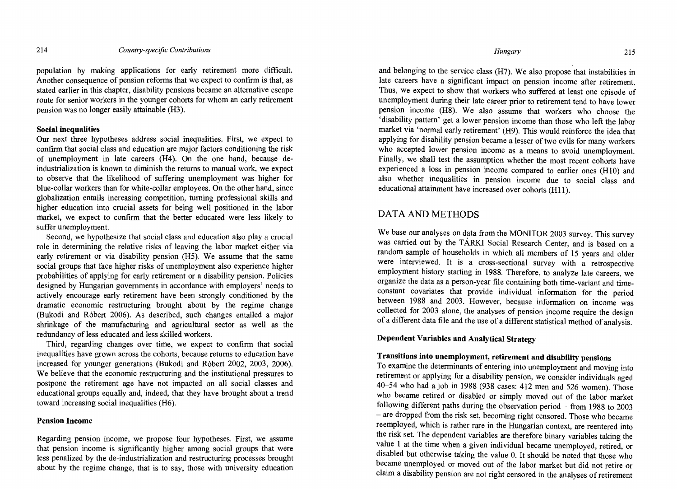population by making applications for early retirement more difficult. Another consequence of pension reforms that we expect to confirm is that, as stated earlier in this chapter, disability pensions became an altemative escape route for senior workers in the younger cohorts for whom an early retirement pension was no longer easily attainable (H3).

### **Social inequalities**

Our next three hypotheses address social inequalities. First, we expect to confirm that social class and education are major factors conditioning the risk of unemployment in late careers (H4). On the one hand, because deindustrialization is known to diminish the retums to manual work, we expect to observe that the likelihood of suffering unemployment was higher for blue-collar workers than for white-collar employees. On the other hand, since globalization entails increasing competition, tuming professional skills and higher education into crucial assets for being well positioned in the labor market, we expect to confirm that the better educated were less likely to suffer unemployment.

Second, we hypothesize that social class and education also play a crucial role in determining the relative risks of leaving the labor market either via early retirement or via disability pension (H5). We assume that the same social groups that face higher risks of unemployment also experience higher probabilities of applying for early retirement or a disability pension. Policies designed by Hungarian governments in accordance with employers' needs to actively encourage early retirement have been strongly conditioned by the dramatic economic restructuring brought about by the regime change (Bukodi and Róbert 2006). As described, such changes entailed a major shrinkage of the manufacturing and agricultural sector as well as the redundancy of less educated and less skilled workers.

Third, regarding changes over time, we expect to confirm that social inequalities have grown across the cohorts, because retums to education have increased for younger generations (Bukodi and Róbert 2002, 2003, 2006). We believe that the economic restructuring and the institutional pressures to postpone the retirement age have not impacted on all social classes and educational groups equally and, indeed, that they have brought about a trend toward increasing social inequalities (H6).

#### **Pension Income**

Regarding pension income, we propose four hypotheses. First, we assume that pension income is significantly higher among social groups that were less penalized by the de-industrialization and restructuring processes brought about by the regime change, that is to say, those with university education

#### *Hungary* 215

and belonging to the service class (H7). We also propose that instabilities in late careers have a significant impact on pension income after retirement. Thus, We expect to show that workers who suffered at least one episode of unemployment during their late career prior to retirement tend to have lower pension income (H8). We also assume that workers who choose the 'disability pattem' get a lower pension income than those who left the labor market via 'normal early retirement' (H9). This would reinforce the idea that applying for disability pension became a lesser of two evils for many workers who accepted lower pension income as a means to avoid unemployment. Finally, we shall test the assumption whether the most recent cohorts have experienced a loss in pension income compared to earlier ones (HIO) and also whether inequalities in pension income due to social class and educational attainment have increased over cohorts (Hll).

## DATA AND METHODS

We base our analyses on data from the MONITOR 2003 survey. This survey was carried out by the TÁRKI Social Research Center, and is based on a random sample of households in which all members of 15 years and older were interviewed. It is a cross-sectional survey with a retrospective employment history starting in 1988. Therefore, to analyze late careers, we organize the data as a person-year file containing both time-variant and timeconstant covariates that provide individual information for the period between 1988 and 2003. However, because information on income was collected for 2003 alone, the analyses of pension income require the design of a different data file and the use of a different statistical method of analysis.

#### **Dependent Variables and Analytical** Strategy

## **Transitions into unemployment, retirement and disability pensions**

To examine the determinants of entering into unemployment and moving into retirement or applying for a disability pension, we consider individuals aged 40-54 who had a job in 1988 (938 cases: 412 men and 526 women). Those who became retired or disabled or simply moved out of the labor market following different paths during the observation period - from 1988 to 2003 - are dropped from the risk set, becoming right censored. Those who became reemployed, which is rather rare in the Hungarian context, are reentered into the risk set. The dependent variables are therefore binary variables taking the value 1 at the time when a given individual became unemployed, retired, or disabled but otherwise taking the value O. It should be noted that those who became unemployed or moved out of the labor market but did not retire or claim a disability pension are not right censored in the analyses of retirement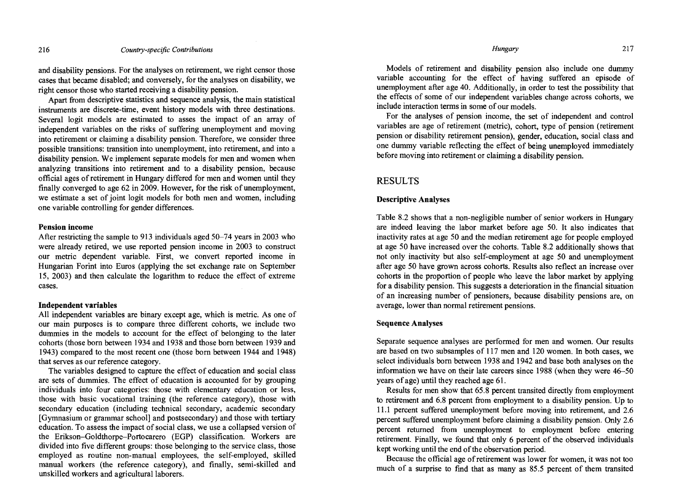*Hungary* 217

and disability pensions. For the analyses on retirement, we right censor those cases that became disabled; and conversely, for the analyses on disability, we right censor those who started receiving a disability pension.

Apart from descriptive statistics and sequence analysis, the main statistical instruments are discrete-time, event history models with three destinations. Several logit models are estimated to asses the impact of an array of independent variables on the risks of suffering unemployment and moving into retirement or claiming a disability pension. Therefore, we consider three possible transitions: transition into unemployment, into retirement, and into a disability pension. We implement separate models for men and women when analyzing transitions into retirement and to a disability pension, because official ages of retirement in Hungary differed for men and women until they finally converged to age 62 in 2009. However, for the risk of unemployment, we estimate a set of joint logit models for both men and women, ineluding one variable controlling for gender differences.

#### Pension income

After restricting the sample to 913 individuals aged 50–74 years in 2003 who were already retired, we use reported pension income in 2003 to construct our metric dependent variable. First, we convert reported income in Hungarian Forint into Euros (applying the set exchange rate on September 15, 2003) and then calculate the logarithm to reduce the effect of extreme cases.

#### Independent variables

All independent variables are binary except age, which is metric. As one of our main purposes is to compare three different cohorts, we inelude two dummies in the models to account for the effect of belonging to the later cohorts (those bom between 1934 and 1938 and those bom between 1939 and 1943) compared to the most recent one (those bom between 1944 and 1948) that serves as our reference category.

The variables designed to capture the effect of education and social elass are sets of dummies. The effect of education is accounted for by grouping individuals into four categories: those with elementary education or less, those with basic vocational training (the reference category), those with secondary education (ineluding technical secondary, academic secondary [Gymnasium or grammar school] and postsecondary) and those with tertiary education. To assess the impact of social elass, we use a collapsed version of the Erikson-Goldthorpe-Portocarero (EGP) classification. Workers are divided into five different groups: those belonging to the service class, those employed as routine non-manual employees, the self-employed, skilled manual workers (the reference category), and finally, semi-skilled and unskilled workers and agricultural laborers.

Models of retirement and disability pension also inelude one dummy variable accounting for the effect of having suffered an episode of unemployment after age 40. Additionally, in order to test the possibility that the effects of sorne of our independent variables change across cohorts, we include interaction terms in some of our models.

For the analyses of pension income, the set of independent and control variables are age of retirement (metric), cohort, type of pension (retirement pension or disability retirement pension), gender, education, social elass and one dummy variable reflecting the effect of being unemployed immediately before moving into retirement or claiming a disability pension.

## RESULTS

#### Descriptive Analyses

Table 8.2 shows that a non-negligible number of senior workers in Hungary are indeed leaving the labor market before age 50. It also indicates that inactivity rates at age 50 and the median retirement age for people employed at age 50 have increased over the cohorts. Table 8.2 additionally shows that not only inactivity but also self-employment at age 50 and unemployment after age 50 have grown across cohorts. Results also reflect an increase over cohorts in the proportion of people who leave the labor market by applying for a disability pension. This suggests a deterioration in the financial situation of an increasing number of pensioners, because disability pensions are, on average, lower than normal retirement pensions.

### Sequence Analyses

Separate sequence analyses are performed for men and women. Our results are based on two subsamples of 117 men and 120 women. In both cases, we select individuals bom between 1938 and 1942 and base both analyses on the information we have on their late careers since 1988 (when they were 46-50 years of age) until they reached age 61.

Results for men show that 65.8 percent transited directly from employment to retirement and 6.8 percent from employment to a disability pension. Up to 11.1 percent suffered unemployment before moving into retirement, and 2.6 percent suffered unemployment before claiming a disability pension. Only 2.6 percent returned from unemployment 10 employment before entering retirement. Finally, we found that only 6 percent of the observed individuals kept working until the end of the observation period.

Because the official age of retirement was lower for women, it was not too much of a surprise to find that as many as 85.5 percent of them transited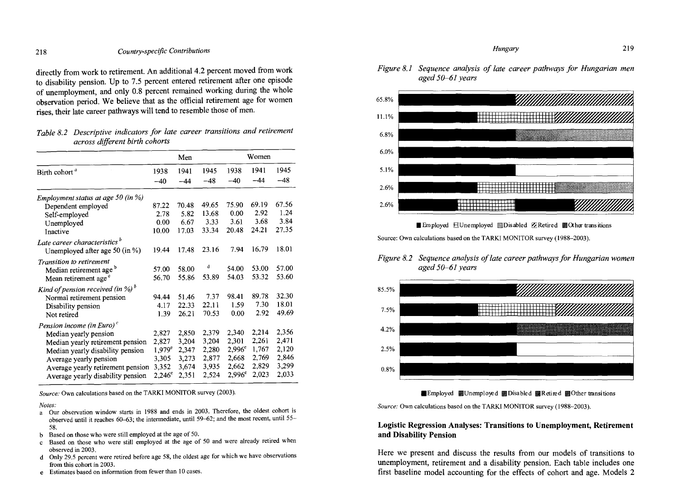directly from work to retirement. An additional 4.2 percent moved from work to disability pension. Up to 7.5 percent entered retirement after one episode of unemployrnent, and only 0.8 percent remained working during the whole observation period. We believe that as the official retirement age for women rises, their late career pathways will tend to resemble those of men.

| Table 8.2 Descriptive indicators for late career transitions and retirement |  |
|-----------------------------------------------------------------------------|--|
| across different birth cohorts                                              |  |

|                 | Men   |       |                    |                                |                                                           |
|-----------------|-------|-------|--------------------|--------------------------------|-----------------------------------------------------------|
| 1938            | 1941  | 1945  | 1938               | 1941                           | 1945                                                      |
| $-40$           | $-44$ | $-48$ | $-40$              | $-44$                          | $-48$                                                     |
|                 |       |       |                    |                                |                                                           |
| 87.22           | 70.48 |       |                    |                                | 67.56                                                     |
| 2.78            | 5.82  | 13.68 |                    |                                | 1.24                                                      |
| 0.00            | 6.67  |       |                    |                                | 3.84                                                      |
| 10.00           | 17.03 | 33.34 |                    |                                | 27.35                                                     |
|                 |       |       |                    |                                |                                                           |
| 19.44           | 17.48 | 23.16 | 7.94               | 16.79                          | 18.01                                                     |
|                 |       |       |                    |                                |                                                           |
| 57.00           | 58.00 |       | 54.00              |                                | 57.00                                                     |
| 56.70           | 55.86 | 53.89 | 54.03              |                                | 53.60                                                     |
|                 |       |       |                    |                                |                                                           |
| 94.44           | 51.46 | 7.37  | 98.41              | 89.78                          | 32.30                                                     |
| 4.17            | 22.33 | 22.11 | 1.59               | 7.30                           | 18.01                                                     |
| 1.39            | 26.21 | 70.53 | 0.00               | 2.92                           | 49.69                                                     |
|                 |       |       |                    |                                |                                                           |
| 2,827           | 2,850 | 2,379 | 2,340              | 2,214                          | 2,356                                                     |
| 2,827           | 3,204 | 3,204 | 2,301              | 2,261                          | 2,471                                                     |
| $1.979^e$       | 2,347 | 2,280 | $2,996^{\circ}$    | 1,767                          | 2,120                                                     |
| 3,305           | 3,273 | 2,877 | 2,668              | 2,769                          | 2,846                                                     |
| 3,352           | 3,674 | 3,935 | 2,662              | 2,829                          | 3,299                                                     |
| $2,246^{\circ}$ | 2,351 | 2,524 | $2,996^e$          | 2,023                          | 2,033                                                     |
|                 |       |       | 49.65<br>3.33<br>d | 75.90<br>0.00<br>3.61<br>20.48 | Women<br>69.19<br>2.92<br>3.68<br>24.21<br>53.00<br>53.32 |

*Source:* Own calculations based on the TARKI MONITOR survey (2003).

*Notes:* 

- a Our observation window starts in 1988 and ends in 2003. Therefore, the oldest cohort is observed until it reaches 60-63; the interrnediate, until 59-62; and the most recent, until 55- 58.
- b Based on those who were still employed at the age of 50.
- c Based on those who were still employed at the age of 50 and were already retired when observed in 2003.
- d Only 29.5 percent were retired before age 58, the oldest age for which we have observations from this cohort in 2003.
- e Estimates based on information from fewer than 10 cases.

*Figure* 8.1 *Sequence analysis of late career pathways for Hungarian men aged 50-61 years* 



■ Em ployed EUnemployed ■ Disabled **ZRetired ■ Other transitions** 

Source: Own calculations based on the TARKI MONITOR survey (1988-2003).

### *Figure 8.2 Sequence analysis of late career pathways for Hungarian women aged 50-61 years*





Source: Own calculations based on the TARKI MONITOR survey (1988-2003).

## **Logistic Regression** Analyses: **Transitions to Unemployment, Retirement and Disability Pension**

Here we present and discuss the results from our models of transitions to unemployment, retirement and a disability pension. Each table includes one first baseline model accounting for the effects of cohort and age. Models 2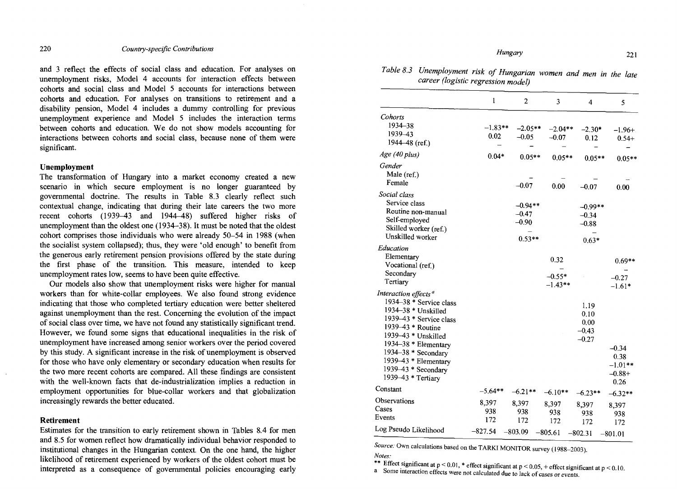and 3 reflect the effects of social class and education. For analyses on unemployment risks, Model 4 accounts for interaction effects between cohorts and social class and Model 5 accounts for interactions between cohorts and education. For analyses on transitions to retirement and a disability pension, Model 4 includes a dummy controlling for previous unemployment experience and Model 5 includes the interaction terms between cohorts and education. We do not show models accounting for interactions between cohorts and social class, because none of them were significant.

#### **Unemployment**

The transformation of Hungary into a market economy created a new scenario in which secure employment is no longer guaranteed by governmental doctrine. The results in Table 8.3 clearly reflect such contextual change, indicating that during their late careers the two more recent cohorts  $(1939-43$  and  $1944-48$ ) suffered higher risks of unemployment than the oldest one (1934-38). It must be noted that the oldest cohort comprises those individuals who were already 50-54 in 1988 (when the socialist system collapsed); thus, they were 'old enough' to benefit from the generous early retirement pension provisions offered by the state during the first phase of the transition. This measure, intended to keep unemployment rates low, seems to have been quite effective.

Our models also show that unemployment risks were higher for manual workers than for white-collar employees. We also found strong evidence indicating that those who completed tertiary education were better sheltered against unemployment than the rest. Conceming the evolution of the impact of social class over time, we have not found any statistically significant trend. However, we found some signs that educational inequalities in the risk of unemployrnent have increased among senior workers over the period covered by this study. A significant increase in the risk of unemployment is observed for those who have only elementary or secondary education when results for the two more recent cohorts are compared. AH these findings are consistent with the well-known facts that de-industrialization implies a reduction in employment opportunities for blue-collar workers and that globalization increasingly rewards the better educated.

#### **Retirement**

Estimates for the transition to early retirement shown in Tables 8.4 for men and 8.5 for women reflect how dramatically individual behavior responded to institutional changes in the Hungarian context. On the one hand, the higher likelihood of retirement experienced by workers of the oldest cohort must be interpreted as a consequence of governmental policies encouraging early

| Table 8.3 Unemployment risk of Hungarian women and men in the late |  |  |
|--------------------------------------------------------------------|--|--|
| career (logistic regression model)                                 |  |  |

|                                                                                                                                                                                                                                                                               | $\mathbf{1}$        | $\overline{2}$                              | 3                             | 4                                          | 5                                                    |
|-------------------------------------------------------------------------------------------------------------------------------------------------------------------------------------------------------------------------------------------------------------------------------|---------------------|---------------------------------------------|-------------------------------|--------------------------------------------|------------------------------------------------------|
|                                                                                                                                                                                                                                                                               |                     |                                             |                               |                                            |                                                      |
| Cohorts<br>1934-38<br>1939-43<br>1944–48 (ref.)                                                                                                                                                                                                                               | -1.83**<br>0.02     | $-2.05**$<br>$-0.05$                        | $-2.04**$<br>$-0.07$          | $-2.30*$<br>0.12                           | $-1.96+$<br>$0.54+$                                  |
| Age (40 plus)                                                                                                                                                                                                                                                                 | $0.04*$             | $0.05**$                                    | $0.05**$                      | $0.05**$                                   | $0.05**$                                             |
| Gender<br>Male (ref.)<br>Female                                                                                                                                                                                                                                               |                     | $-0.07$                                     | 0.00                          | $-0.07$                                    | 0.00                                                 |
| Social class<br>Service class<br>Routine non-manual<br>Self-employed<br>Skilled worker (ref.)<br>Unskilled worker                                                                                                                                                             |                     | $-0.94**$<br>$-0.47$<br>$-0.90$<br>$0.53**$ |                               | $-0.99**$<br>$-0.34$<br>$-0.88$<br>$0.63*$ |                                                      |
| Education<br>Elementary<br>Vocational (ref.)<br>Secondary<br>Tertiary                                                                                                                                                                                                         |                     |                                             | 0.32<br>$-0.55*$<br>$-1.43**$ |                                            | $0.69**$<br>$-0.27$                                  |
| Interaction effects <sup>a</sup><br>1934–38 * Service class<br>1934-38 * Unskilled<br>1939-43 * Service class<br>1939-43 * Routine<br>1939-43 * Unskilled<br>1934-38 * Elementary<br>1934-38 * Secondary<br>1939-43 * Elementary<br>1939-43 * Secondary<br>1939-43 * Tertiary |                     |                                             |                               | 1.19<br>0.10<br>0.00<br>$-0.43$<br>$-0.27$ | $-1.61*$<br>$-0.34$<br>0.38<br>$-1.01**$<br>$-0.88+$ |
| Constant                                                                                                                                                                                                                                                                      | $-5.64**$           | $-6.21**$                                   | $-6.10**$                     |                                            | 0.26                                                 |
| Observations<br>Cases<br>Events                                                                                                                                                                                                                                               | 8,397<br>938<br>172 | 8,397<br>938<br>172                         | 8,397<br>938<br>172           | $-6.23**$<br>8,397<br>938<br>172           | $-6.32**$<br>8,397<br>938<br>172                     |
| Log Pseudo Likelihood                                                                                                                                                                                                                                                         | $-827.54$           | $-803.09$                                   | $-805.61$                     | $-802.31$                                  | $-801.01$                                            |

*Source: Own calculations based on the TARKI MONITOR survey (1988-2003). Notes:* 

\*\* Effect significant at  $p < 0.01$ , \* effect significant at  $p < 0.05$ , + effect significant at  $p < 0.10$ . a Some interaction effects were not calculated due to lack of cases or events.

*Hungary* 221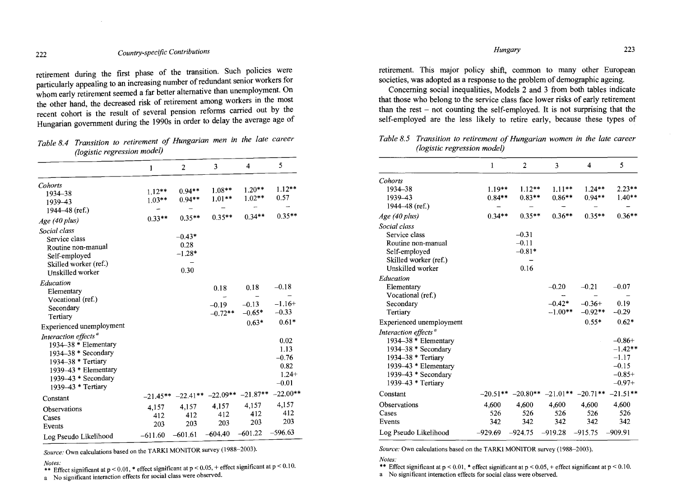retirement during the first phase of the transition. Such policies were particularly appealing to an increasing number of redundant senior workers for whom early retirement seemed a far better alternative than unemployment. On the other hand, the decreased risk of retirement among workers in the most recent cohort is the result of several pension reforms carried out by the Hungarian government during the 1990s in order to delay the average age of

*Table* 8.4 *Transition to retirement of Hungarian men in the late career (logistic regression model)* 

|                                                                                                                                                                                        | 1                                | $\overline{2}$                       | 3                                 | 4                                      | 5                                                     |
|----------------------------------------------------------------------------------------------------------------------------------------------------------------------------------------|----------------------------------|--------------------------------------|-----------------------------------|----------------------------------------|-------------------------------------------------------|
| Cohorts<br>1934-38<br>1939-43                                                                                                                                                          | $1.12***$<br>$1.03**$            | $0.94**$<br>$0.94**$                 | $1.08***$<br>$1.01**$             | $1.20**$<br>$1.02**$                   | $1.12**$<br>0.57                                      |
| 1944–48 (ref.)                                                                                                                                                                         |                                  |                                      | $0.35**$                          | $0.34**$                               | $0.35**$                                              |
| Age (40 plus)                                                                                                                                                                          | $0.33**$                         | $0.35**$                             |                                   |                                        |                                                       |
| Social class<br>Service class<br>Routine non-manual<br>Self-employed<br>Skilled worker (ref.)<br>Unskilled worker                                                                      |                                  | $-0.43*$<br>0.28<br>$-1.28*$<br>0.30 |                                   |                                        |                                                       |
| Education<br>Elementary<br>Vocational (ref.)<br>Secondary<br>Tertiary                                                                                                                  |                                  |                                      | 0.18<br>$-0.19$<br>$-0.72**$      | 0.18<br>$-0.13$<br>$-0.65*$<br>$0.63*$ | $-0.18$<br>$-1.16+$<br>$-0.33$<br>$0.61*$             |
| Experienced unemployment                                                                                                                                                               |                                  |                                      |                                   |                                        |                                                       |
| Interaction effects <sup>a</sup><br>1934-38 * Elementary<br>1934-38 * Secondary<br>$1934 - 38$ * Tertiary<br>$1939 - 43$ * Elementary<br>$1939 - 43 *$ Secondary<br>1939–43 * Tertiary |                                  |                                      |                                   |                                        | 0.02<br>1.13<br>$-0.76$<br>0.82<br>$1.24+$<br>$-0.01$ |
| Constant                                                                                                                                                                               | $-21.45**$                       |                                      | $-22.41***$ $-22.09**$ $-21.87**$ |                                        | $-22.00**$                                            |
| Observations<br>Cases<br>Events<br>Log Pseudo Likelihood                                                                                                                               | 4,157<br>412<br>203<br>$-611.60$ | 4,157<br>412<br>203<br>$-601.61$     | 4,157<br>412<br>203<br>$-604.40$  | 4,157<br>412<br>203<br>$-601.22$       | 4,157<br>412<br>203<br>$-596.63$                      |

*Source:* Own calculations based on the TARKI MONITOR survey (1988-2003).

*Notes:* \*\* Effect significant at p < 0.01, \* effect significant at p < 0.05, + effect significant at p < 0.10.

a No significant interaction effects for social class were observed.

*Hungary* 223

retirement. This major policy shift, common to many other European societies, was adopted as a response to the problem of demographic ageing.

Conceming social inequalities, Models 2 and 3 from both tables indicate that those who belong to the service class face lower risks of early retirement than the rest  $-$  not counting the self-employed. It is not surprising that the self-employed are the less likely to retire early, because these types of

*Table* 8.5 *Transition to retirement of Hungarian women in the late career (logis tic regression model)* 

|                                  | 1          | 2         | 3         | 4                                | 5          |
|----------------------------------|------------|-----------|-----------|----------------------------------|------------|
| Cohorts                          |            |           |           |                                  |            |
| 1934-38                          | $1.19**$   | $1.12**$  | $1.11***$ | $1.24**$                         | $2.23**$   |
| 1939-43                          | $0.84**$   | $0.83**$  | $0.86**$  | $0.94**$                         | $1.40**$   |
| 1944-48 (ref.)                   |            |           |           |                                  |            |
| Age (40 plus)                    | $0.34**$   | $0.35**$  | $0.36**$  | $0.35**$                         | $0.36**$   |
| Social class                     |            |           |           |                                  |            |
| Service class                    |            | $-0.31$   |           |                                  |            |
| Routine non-manual               |            | $-0.11$   |           |                                  |            |
| Self-employed                    |            | $-0.81*$  |           |                                  |            |
| Skilled worker (ref.)            |            |           |           |                                  |            |
| Unskilled worker                 |            | 0.16      |           |                                  |            |
| Education                        |            |           |           |                                  |            |
| Elementary                       |            |           | $-0.20$   | $-0.21$                          | $-0.07$    |
| Vocational (ref.)                |            |           |           |                                  |            |
| Secondary                        |            |           | $-0.42*$  | $-0.36+$                         | 0.19       |
| Tertiary                         |            |           | $-1.00**$ | $-0.92**$                        | $-0.29$    |
| Experienced unemployment         |            |           |           | $0.55*$                          | $0.62*$    |
| Interaction effects <sup>a</sup> |            |           |           |                                  |            |
| 1934-38 * Elementary             |            |           |           |                                  | $-0.86+$   |
| 1934-38 * Secondary              |            |           |           |                                  | $-1.42**$  |
| 1934–38 * Tertiary               |            |           |           |                                  | $-1.17$    |
| 1939-43 * Elementary             |            |           |           |                                  | $-0.15$    |
| 1939-43 * Secondary              |            |           |           |                                  | $-0.85+$   |
| 1939–43 * Tertiary               |            |           |           |                                  | $-0.97+$   |
| Constant                         | $-20.51**$ |           |           | $-20.80**$ $-21.01**$ $-20.71**$ | $-21.51**$ |
| Observations                     | 4,600      | 4,600     | 4,600     | 4,600                            | 4,600      |
| Cases                            | 526        | 526       | 526       | 526                              | 526        |
| Events                           | 342        | 342       | 342       | 342                              | 342        |
| Log Pseudo Likelihood            | $-929.69$  | $-924.75$ | $-919.28$ | $-915.75$                        | $-909.91$  |

*Source:* Own calculations based on the TARKI MONITOR survey (1988-2003).

*Notes:* 

\*\* Effect significant at  $p < 0.01$ , \* effect significant at  $p < 0.05$ , + effect significant at  $p < 0.10$ .

a No significant interaction effects for social class were observed.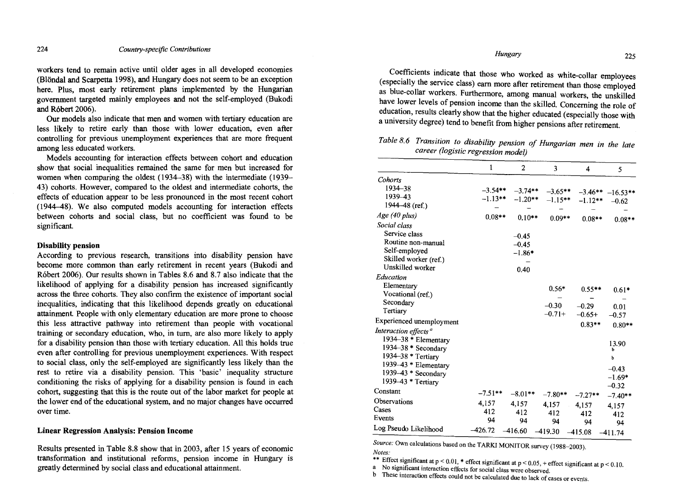workers tend to remain active until older ages in all developed economies (Blöndal and Scarpetta 1998), and Hungary does not seem to be an exception here. Plus, most early retirement plans implemented by the Hungarian government targeted mainly employees and not the self-employed (Bukodi and Róbert 2006).

Our models also indicate that men and women with tertiary education are less likely to retire early than those with lower education, even after controlling for previous unemployment experiences that are more frequent among less educated workers.

Models accounting for interaction effects between cohort and education show that social inequalities remained the same for men but increased for women when comparing the oldest (1934-38) with the intermediate (1939- 43) cohorts. However, compared to the oldest and intermediate cohorts, the effects of education appear to be less pronounced in the most recent cohort (1944-48). We also computed models accounting for interaction effects between cohorts and social class, but no coefficient was found to be significant.

#### Disability pension

According to previous research, transitions into disability pension have become more common than early retirement in recent years (Bukodi and Róbert 2006). Our results shown in Tables 8.6 and 8.7 also indicate that the likelihood of applying for a disability pension has increased significantly across the three cohorts. They also confirm the existence of important social inequalities, indicating that this likelihood depends greatly on educational attainment. People with only elementary education are more prone to choose this less attractive pathway into retirement than people with vocational training or secondary education, who, in tum, are also more likely to apply for a disability pension than those with tertiary education. All this holds true even after controlling for previous unemployment experiences. With respect to social class, only the self-employed are significantly less likely than the rest to retire via a disability pension. This 'basic' inequality structure conditioning the risks of applying for a disability pension is found in each cohort, suggesting that this is the route out of the labor market for people at the lower end of the educational system, and no major changes have occurred over time.

#### Linear Regression Analysis: Pension Income

Results presented in Table 8.8 show that in 2003, after 15 years of economic transformation and institutional reforms, pension income in Hungary is greatly determined by social class and educational attainment.

Coefficients indicate that those who worked as white-collar employees (especially the service class) eam more after retirement than those employed as blue-collar workers. Furthermore, among manual workers, the unskilled have lower levels of pension income than the skilled. Conceming the role of education, results clearly show that the higher educated (especially those with a university degree) tend to benefit from higher pensions after retirement.

## *Table* 8.6 *Transition to disability pension of Hungarian men in the late career (logistic regression model)*

|                                  | 1         | $\overline{2}$ | 3         | 4         | 5          |
|----------------------------------|-----------|----------------|-----------|-----------|------------|
| Cohorts                          |           |                |           |           |            |
| 1934-38                          | $-3.54**$ | $-3.74**$      | $-3.65**$ | $-3.46**$ | $-16.53**$ |
| 1939-43                          | $-1.13**$ | $-1.20**$      | $-1.15**$ | $-1.12**$ | $-0.62$    |
| 1944–48 (ref.)                   |           |                |           |           |            |
| Age (40 plus)                    | $0.08**$  | $0.10**$       | $0.09**$  | $0.08**$  | $0.08**$   |
| Social class                     |           |                |           |           |            |
| Service class                    |           | $-0.45$        |           |           |            |
| Routine non-manual               |           | $-0.45$        |           |           |            |
| Self-employed                    |           | $-1.86*$       |           |           |            |
| Skilled worker (ref.)            |           |                |           |           |            |
| Unskilled worker                 |           | 0.40           |           |           |            |
| Education                        |           |                |           |           |            |
| Elementary                       |           |                | $0.56*$   | $0.55**$  | $0.61*$    |
| Vocational (ref.)                |           |                |           |           |            |
| Secondary                        |           |                | $-0.30$   | $-0.29$   | 0.01       |
| Tertiary                         |           |                | $-0.71+$  | $-0.65+$  | $-0.57$    |
| Experienced unemployment         |           |                |           | $0.83**$  | $0.80**$   |
| Interaction effects <sup>a</sup> |           |                |           |           |            |
| 1934-38 * Elementary             |           |                |           |           |            |
| 1934-38 * Secondary              |           |                |           |           | 13.90<br>b |
| 1934-38 * Tertiary               |           |                |           |           | p          |
| 1939-43 * Elementary             |           |                |           |           | $-0.43$    |
| 1939-43 * Secondary              |           |                |           |           | $-1.69*$   |
| 1939-43 * Tertiary               |           |                |           |           | $-0.32$    |
| Constant                         | $-7.51**$ | $-8.01**$      | $-7.80**$ | $-7.27**$ | $-7.40**$  |
| Observations                     | 4,157     | 4,157          | 4,157     | 4,157     | 4,157      |
| Cases                            | 412       | 412            | 412       | 412       | 412        |
| Events                           | 94        | 94             | 94        | 94        | 94         |
| Log Pseudo Likelihood            | $-426.72$ | $-416.60$      | $-419.30$ | $-415.08$ | $-411.74$  |

*Source:* Own calculations based on the TARKI MONITOR survey (1988-2003).

*Notes:* 

\*\* Effect significant at  $p < 0.01$ , \* effect significant at  $p < 0.05$ , + effect significant at  $p < 0.10$ .

a No significant interaction effects for social class were observed.

b These interaction effects could not be calculated due to lack of cases or events.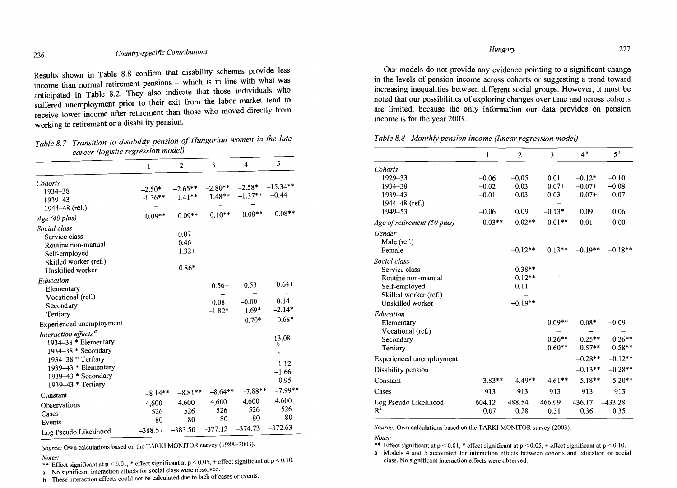Results shown in Table 8.8 confirm that disability schemes provide less income than normal retirement pensions - which is in line with what was anticipated in Table 8.2. They also indicate that those individuals who suffered unemployment prior to their exit from the labor market tend to receive lower income after retirement than those who moved directly from working to retirement or a disability pension.

*Table* 8.7 *Transition to disability pension of Hungarian women in the late career (logis tic regression model)* 

| Cohorts<br>$-2.58*$<br>$-2.80**$<br>$-2.65**$<br>$-2.50*$<br>1934-38<br>$-1.37**$<br>$-1.48$ **<br>$-1.41**$<br>$-1.36**$<br>1939-43<br>1944–48 (ref.)<br>$0.08**$<br>$0.10**$<br>$0.09**$<br>$0.09**$<br>Age (40 plus)<br>Social class<br>0.07<br>Service class<br>0.46<br>Routine non-manual<br>$1.32+$<br>Self-employed<br>Skilled worker (ref.) |                                               |
|-----------------------------------------------------------------------------------------------------------------------------------------------------------------------------------------------------------------------------------------------------------------------------------------------------------------------------------------------------|-----------------------------------------------|
|                                                                                                                                                                                                                                                                                                                                                     | $-15.34**$<br>$-0.44$                         |
|                                                                                                                                                                                                                                                                                                                                                     | $0.08**$                                      |
| $0.86*$<br>Unskilled worker                                                                                                                                                                                                                                                                                                                         |                                               |
| Education<br>0.53<br>$0.56+$<br>Elementary<br>Vocational (ref.)<br>$-0.00$<br>$-0.08$<br>Secondary<br>$-1.69*$<br>$-1.82*$<br>Tertiary<br>$0.70*$<br>Experienced unemployment                                                                                                                                                                       | $0.64+$<br>0.14<br>$-2.14*$<br>$0.68*$        |
| Interaction effects <sup>a</sup><br>1934–38 * Elementary<br>$1934 - 38$ * Secondary<br>1934–38 * Tertiary<br>1939-43 * Elementary<br>1939–43 * Secondary<br>$1939 - 43$ * Tertiary                                                                                                                                                                  | 13.08<br>b<br>b<br>$-1.12$<br>$-1.66$<br>0.95 |
| $-7.88**$<br>$-8.64**$<br>$-8.81**$<br>$-8.14**$<br>Constant                                                                                                                                                                                                                                                                                        | $-7.99**$                                     |
| 4,600<br>4,600<br>4,600<br>4,600<br>Observations<br>526<br>526<br>526<br>526<br>Cases<br>80<br>80<br>80<br>80<br>Events<br>$-374.73$<br>$-377.12$<br>$-383.50$<br>$-388.57$<br>Log Pseudo Likelihood                                                                                                                                                | 4,600<br>526<br>80<br>$-372.63$               |

Source: Own calculations based on the TARKI MONITOR survey (1988-2003).

*Notes:* \*\* Effect significant at p < 0.01, \* effect significant at p < 0.05, + effect significant at p < 0.10.

a No significant interaction effects for social class were observed.

b These interaction effects could not be calculated due to lack of cases or events.

Our models do not provide any evidence pointing to a significant change in the levels of pension income across cohorts or suggesting a trend toward increasing inequalities between different social groups. However, it must be

noted that our possibilities of exploring changes over time and across cohorts are limited, because the only information our data provides on pension income is for the year 2003.

*Table* 8.8 *Monthly pension income (linear regression model)* 

|                             | 1         | 2         | 3         | 4 <sup>a</sup> | 5 <sup>a</sup> |
|-----------------------------|-----------|-----------|-----------|----------------|----------------|
| Cohorts                     |           |           |           |                |                |
| 1929-33                     | $-0.06$   | $-0.05$   | 0.01      | $-0.12*$       | $-0.10$        |
| 1934-38                     | $-0.02$   | 0.03      | $0.07 +$  | $-0.07+$       | $-0.08$        |
| 1939-43                     | $-0.01$   | 0.03      | 0.03      | $-0.07+$       | $-0.07$        |
| 1944-48 (ref.)              |           |           |           |                |                |
| 1949-53                     | $-0.06$   | $-0.09$   | $-0.13*$  | $-0.09$        | $-0.06$        |
| Age of retirement (50 plus) | $0.03**$  | $0.02**$  | $0.01**$  | 0.01           | 0.00           |
| Gender                      |           |           |           |                |                |
| Male (ref.)                 |           |           |           |                |                |
| Female                      |           | $-0.12**$ | $-0.13**$ | $-0.19**$      | $-0.18**$      |
| Social class                |           |           |           |                |                |
| Service class               |           | $0.38**$  |           |                |                |
| Routine non-manual          |           | $0.12**$  |           |                |                |
| Self-employed               |           | $-0.11$   |           |                |                |
| Skilled worker (ref.)       |           |           |           |                |                |
| Unskilled worker            |           | $-0.19**$ |           |                |                |
| Education                   |           |           |           |                |                |
| Elementary                  |           |           | $-0.09**$ | $-0.08*$       | $-0.09$        |
| Vocational (ref.)           |           |           |           |                |                |
| Secondary                   |           |           | $0.26**$  | $0.25**$       | $0.26**$       |
| Tertiary                    |           |           | $0.60**$  | $0.57**$       | $0.58**$       |
| Experienced unemployment    |           |           |           | $-0.28**$      | $-0.12**$      |
| Disability pension          |           |           |           | $-0.13**$      | $-0.28**$      |
| Constant                    | $3.83**$  | $4.49**$  | $4.61**$  | $5.18**$       | $5.20**$       |
| Cases                       | 913       | 913       | 913       | 913            | 913            |
| Log Pseudo Likelihood       | $-604.12$ | $-488.54$ | $-466.99$ | $-436.17$      | $-433.28$      |
| $R^2$                       | 0.07      | 0.28      | 0.31      | 0.36           | 0.35           |

*Source:* Own calculations based on the TARKI MONITOR survey (2003).

*Notes:* 

\*\* Effect significant at  $p < 0.01$ , \* effect significant at  $p < 0.05$ , + effect significant at  $p < 0.10$ .

a Models 4 and 5 accounted for interaction effects between cohorts and education or social class. No significant interaction effects were observed.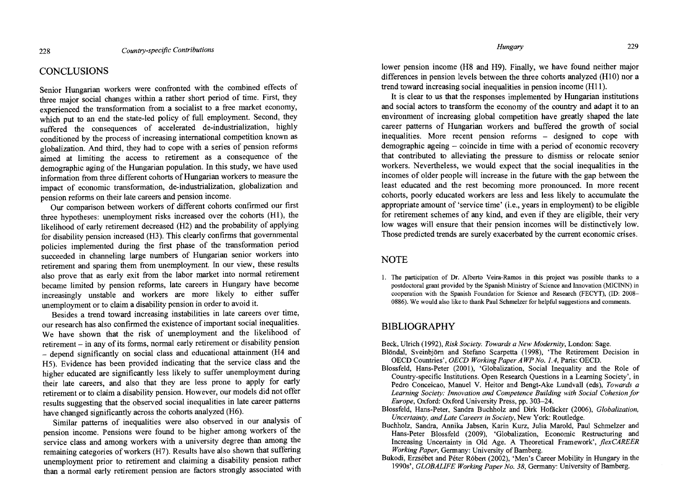## **CONCLUSIONS**

Senior Hungarian workers were confronted with the combined effects of three major social changes within a rather short period of time. First, they experienced the transformation from a socialist to a free market economy, which put to an end the state-led policy of full employment. Second, they suffered the consequences of accelerated de-industrialization, highly conditioned by the process of increasing intemational competition known as globalization. And third, they had to cope with a series of pension reforms aimed at limiting the access to retirement as a consequence of the demographic aging of the Hungarian population. In this study, we have used information from three different cohorts of Hungarian workers to measure the impact of economic transformation, de-industrialization, globalization and pension reforms on their late careers and pension income.

Our comparison between workers of different cohorts confirmed our first three hypotheses: unemployment risks increased over the cohorts (Hl), the likelihood of early retirement decreased (H2) and the probability of applying for disability pension increased (H3). This clearly confirms that governmental policies implemented during the first phase of the transformation period succeeded in channeling large numbers of Hungarian senior workers into retirement and sparing them from unemployment. In our view, these results also prove that as early exit from the labor market into normal retirement became limited by pension reforms, late careers in Hungary have become increasingly unstable and workers are more likely to either suffer unemployment or to claim a disability pension in order to avoid it.

Besides a trend toward increasing instabilities in late careers over time, our research has also confirmed the existence of important social inequalities. We have shown that the risk of unemployment and the likelihood of retirement - in any of its forms, normal early retirement or disability pension - depend significantly on social class and educational attainment (H4 and H5). Evidence has been provided indicating that the service class and the higher educated are significantly less likely to suffer unemployment during their late careers, and also that they are less prone to apply for early retirement or to claim a disability pension. However, our models did not offer results suggesting that the observed social inequalities in late career partems have changed significantly across the cohorts analyzed (H6).

Similar pattems of inequalities were also observed in our analysis of pension income. Pensions were found to be higher among workers of the service class and among workers with a university degree than among the remaining categories of workers (H7). Results have also shown that suffering unemployment prior to retirement and claiming a disability pension rather than a normal early retirement pension are factors strongly associated with

*Hungary* 229

lower pension income (H8 and H9). Finally, we have found neither major differences in pension levels between the three cohorts analyzed (HI0) nor a trend toward increasing social inequalities in pension income (H11).

It is clear to us that the responses implemented by Hungarian institutions and social actors to transform the economy of the country and adapt it to an environment of increasing global competition have greatly shaped the late career pattems of Hungarian workers and buffered the growth of social inequalities. More recent pension reforms – designed to cope with demographic ageing - coincide in time with a period of economic recovery that contributed to alleviating the pressure to dismiss or relocate senior workers. Nevertheless, we would expect that the social inequalities in the incomes of older people will increase in the future with the gap between the least educated and the rest becoming more pronounced. In more recent cohorts, poorly educated workers are less and less likely to accumulate the appropriate amount of 'service time' (Le., years in employment) to be eligible for retirement schemes of any kind, and even if they are eligible, their very low wages will ensure that their pension incomes will be distinctively low. Those predicted trends are surely exacerbated by the current economic crises.

## NOTE

1. The participation of Dr. Alberto Veira-Ramos in this project was possible thanks to a postdoctoral grant provided by the Spanish Ministry of Science and Innovation (MICINN) in cooperation with the Spanish Foundation for Science and Research (FECYT), (ID: 2008- 0886). We would also like to thank Paul Schmelzer for helpful suggestions and comments.

## BIBLIOGRAPHY

- Beck, Ulrich (1992), *Risk Society. Towards a New Modernity,* London: Sage. Blondal, Sveinbjom and Stefano Scarpetta (1998), 'The Retirement Decision in
- OECD Countries', *OECD Working Paper AWP No.* 1.4, Paris: OECD.
- Blossfeld, Hans-Peter (2001), 'Globalization, Social Inequality and the Role of Country-specific Institutions. Open Research Questions in a Leaming Society', in Pedro Conceicao, Manuel V. Heitor and Bengt-Ake Lundvall (eds), *Towards a*  Learning Society: Innovation and Competence Building with Social Cohesion for *Europe,* Oxford: Oxford University Press, pp. 303-24.
- Blossfeld, Hans-Peter, Sandra Buchholz and Dirk Hofácker (2006), *Globalization, Uncertainty, and Late Careers in Society,* New York: Routledge.
- Buchholz, Sandra, Annika Jabsen, Karin Kurz, Julia Marold, Paul Schmelzer and Hans-Peter Blossfeld (2009), 'Globalization, Economic Restructuring and Increasing Uncertainty in Old Age. A Theoretical Framework', *flexCAREER Working Paper, Germany: University of Bamberg.*
- Bukodi, Erzsébet and Péter Róbert (2002), 'Men's Career Mobility in Hungary in the 1990s', *GLOBALIFE Working Paper No. 38*, Germany: University of Bamberg.